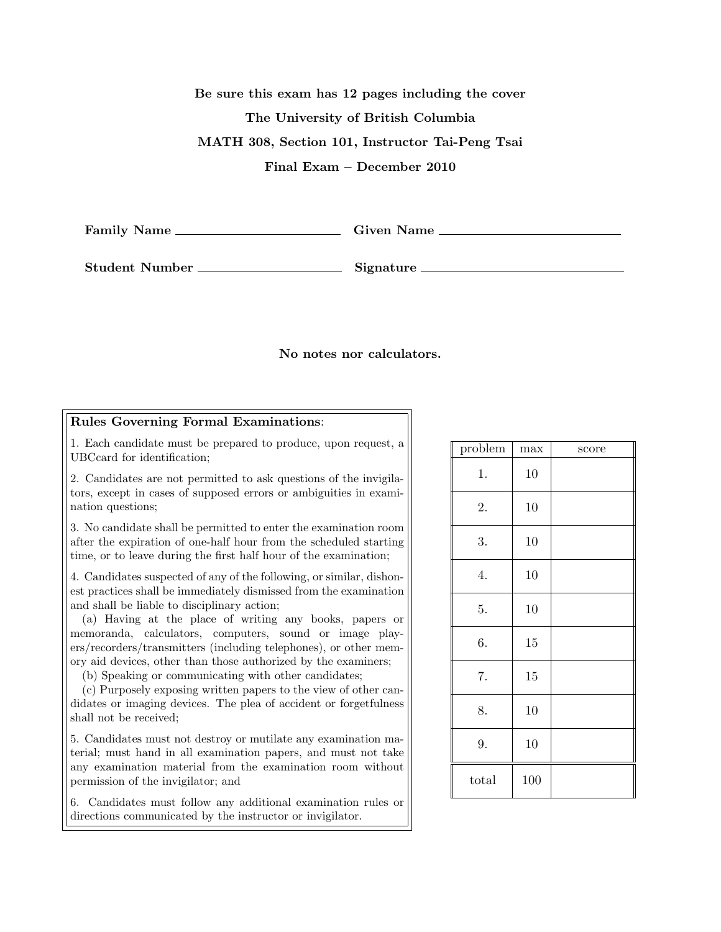Be sure this exam has 12 pages including the cover The University of British Columbia MATH 308, Section 101, Instructor Tai-Peng Tsai Final Exam – December 2010

Family Name Given Name

Student Number Signature

## No notes nor calculators.

## Rules Governing Formal Examinations:

1. Each candidate must be prepared to produce, upon request, a UBCcard for identification;

2. Candidates are not permitted to ask questions of the invigilators, except in cases of supposed errors or ambiguities in examination questions;

3. No candidate shall be permitted to enter the examination room after the expiration of one-half hour from the scheduled starting time, or to leave during the first half hour of the examination;

4. Candidates suspected of any of the following, or similar, dishonest practices shall be immediately dismissed from the examination and shall be liable to disciplinary action;

(a) Having at the place of writing any books, papers or memoranda, calculators, computers, sound or image players/recorders/transmitters (including telephones), or other memory aid devices, other than those authorized by the examiners;

(b) Speaking or communicating with other candidates;

(c) Purposely exposing written papers to the view of other candidates or imaging devices. The plea of accident or forgetfulness shall not be received;

5. Candidates must not destroy or mutilate any examination material; must hand in all examination papers, and must not take any examination material from the examination room without permission of the invigilator; and

6. Candidates must follow any additional examination rules or directions communicated by the instructor or invigilator.

| problem | max | score |
|---------|-----|-------|
| 1.      | 10  |       |
| 2.      | 10  |       |
| 3.      | 10  |       |
| 4.      | 10  |       |
| 5.      | 10  |       |
| 6.      | 15  |       |
| 7.      | 15  |       |
| 8.      | 10  |       |
| 9.      | 10  |       |
| total   | 100 |       |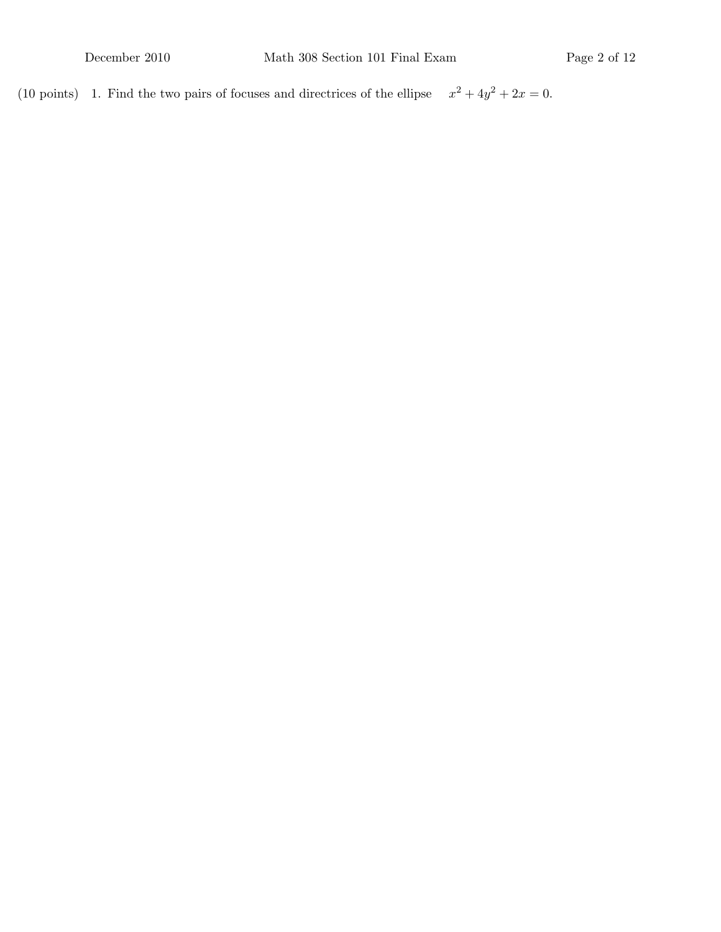(10 points) 1. Find the two pairs of focuses and directrices of the ellipse  $x^2 + 4y^2 + 2x = 0$ .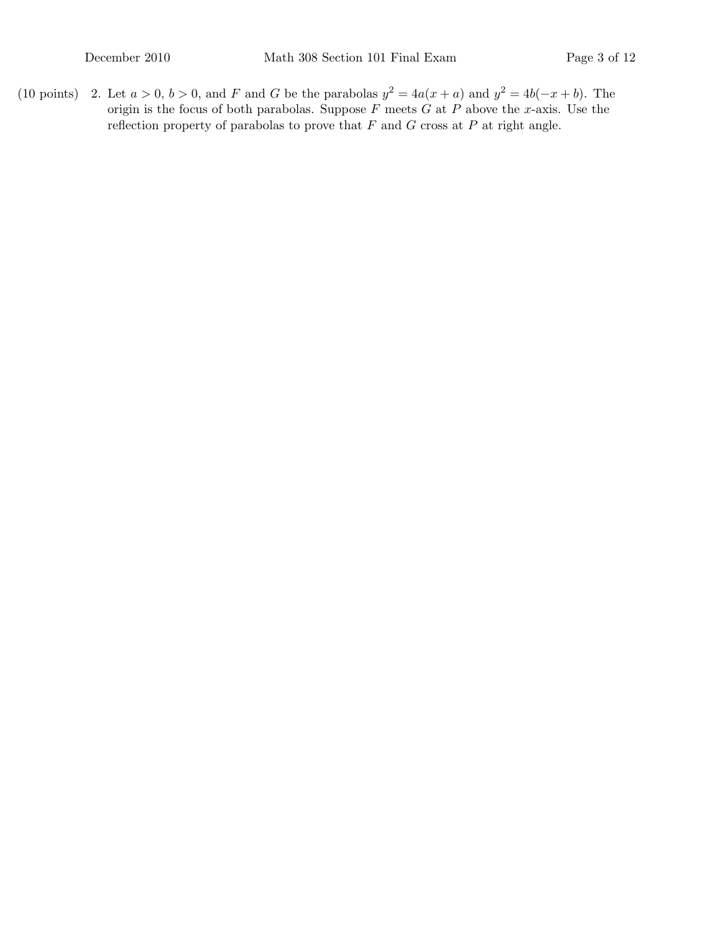(10 points) 2. Let  $a > 0$ ,  $b > 0$ , and F and G be the parabolas  $y^2 = 4a(x + a)$  and  $y^2 = 4b(-x + b)$ . The origin is the focus of both parabolas. Suppose F meets  $G$  at  $P$  above the x-axis. Use the reflection property of parabolas to prove that  $F$  and  $G$  cross at  $P$  at right angle.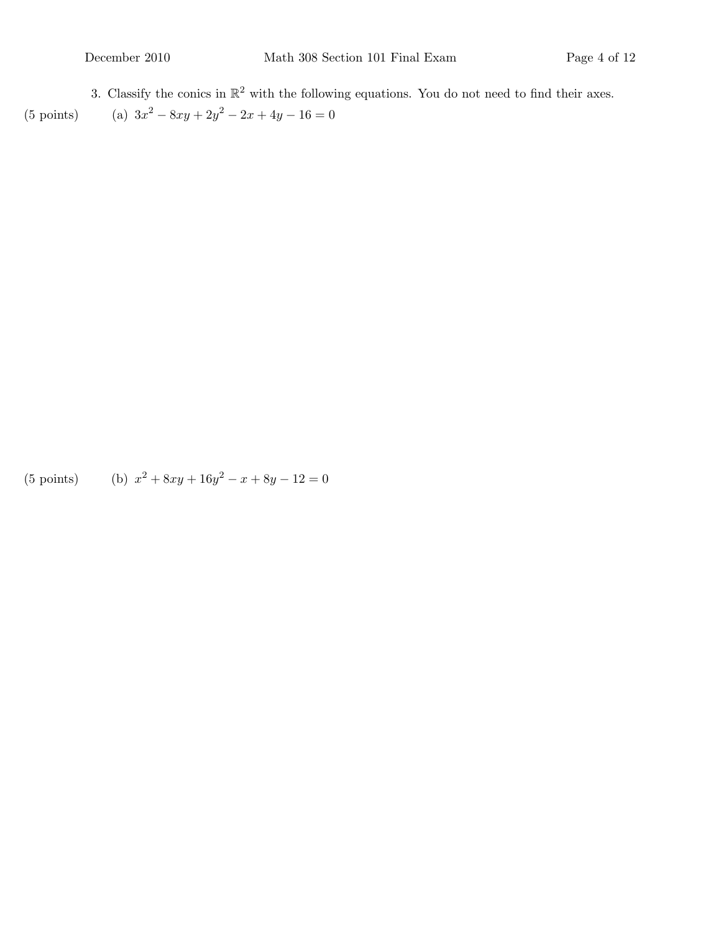3. Classify the conics in  $\mathbb{R}^2$  with the following equations. You do not need to find their axes.  $(5 \text{ points})$  $x^2 - 8xy + 2y^2 - 2x + 4y - 16 = 0$ 

 $(5 \text{ points})$  $x^2 + 8xy + 16y^2 - x + 8y - 12 = 0$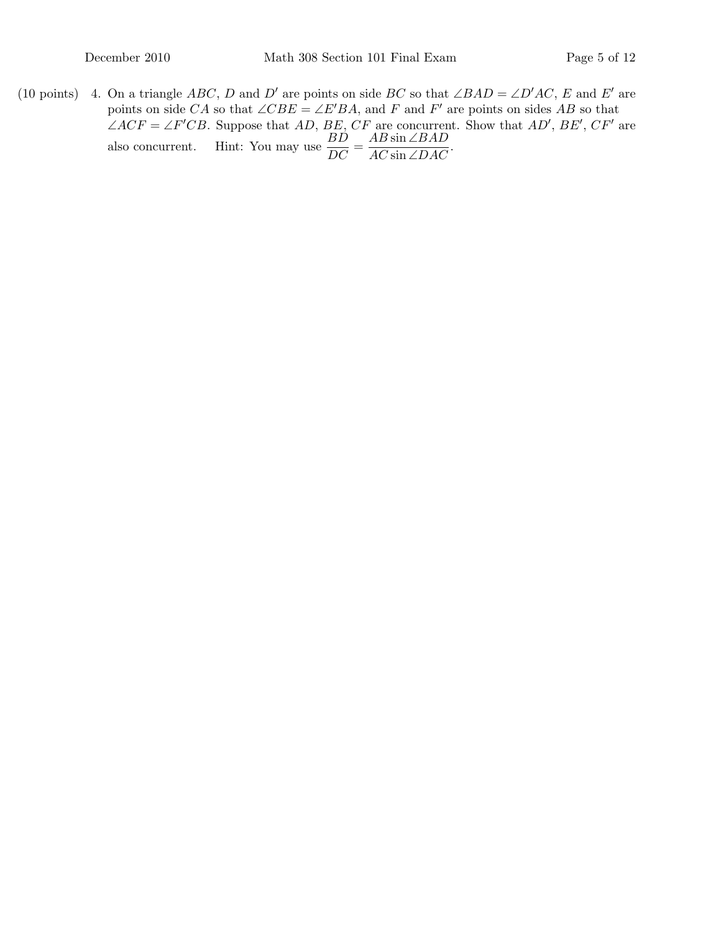(10 points) 4. On a triangle ABC, D and D' are points on side BC so that ∠BAD = ∠D'AC, E and E' are points on side CA so that  $\angle CBE = \angle E'BA$ , and F and F' are points on sides AB so that  $\angle ACF = \angle F'CB$ . Suppose that AD, BE, CF are concurrent. Show that AD', BE', CF' are also concurrent. Hint: You may use  $\frac{BD}{DC}$  =  $AB \sin \angle BAD$  $\frac{\text{AD} \sin \angle D \text{AD}}{\text{AC} \sin \angle D \text{AC}}$ .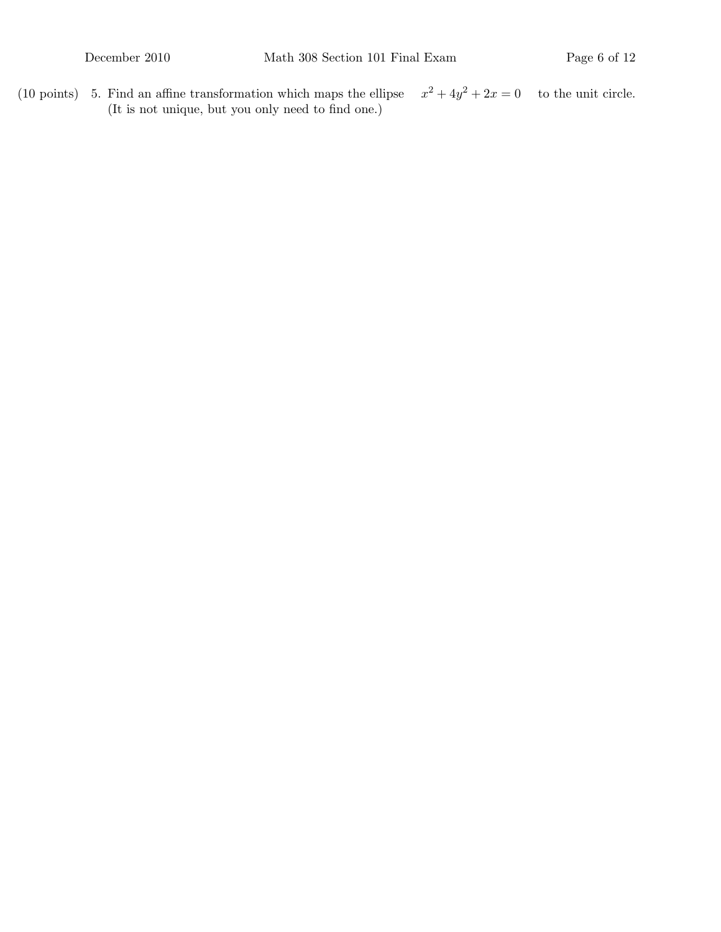(10 points)  $\,$  5. Find an affine transformation which maps the ellipse  $2^2 + 4y^2 + 2x = 0$  to the unit circle. (It is not unique, but you only need to find one.)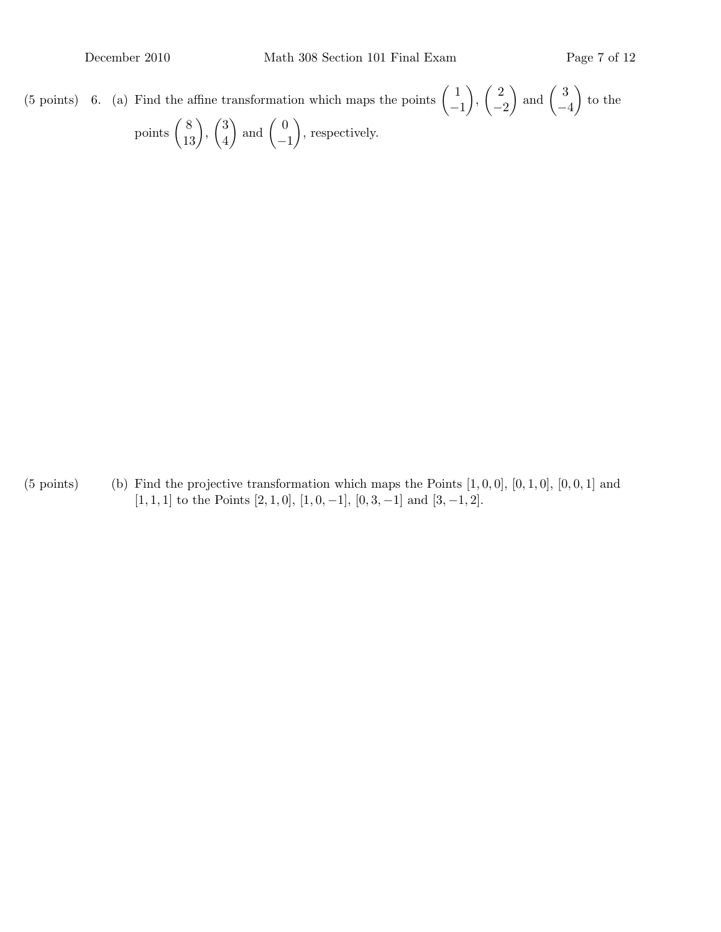(5 points) 6. (a) Find the affine transformation which maps the points  $\begin{pmatrix} 1 \end{pmatrix}$ −1  $\Big)$ ,  $\Big($   $\frac{2}{3}$  $-2$  $\Big)$  and  $\Big($  3 −4  $\Big)$  to the points  $\binom{8}{13}$ ,  $\binom{3}{4}$ 4  $\Big)$  and  $\Big($  0 −1 , respectively.

(5 points) (b) Find the projective transformation which maps the Points  $[1, 0, 0]$ ,  $[0, 1, 0]$ ,  $[0, 0, 1]$  and [1, 1, 1] to the Points [2, 1, 0], [1, 0, -1], [0, 3, -1] and [3, -1, 2].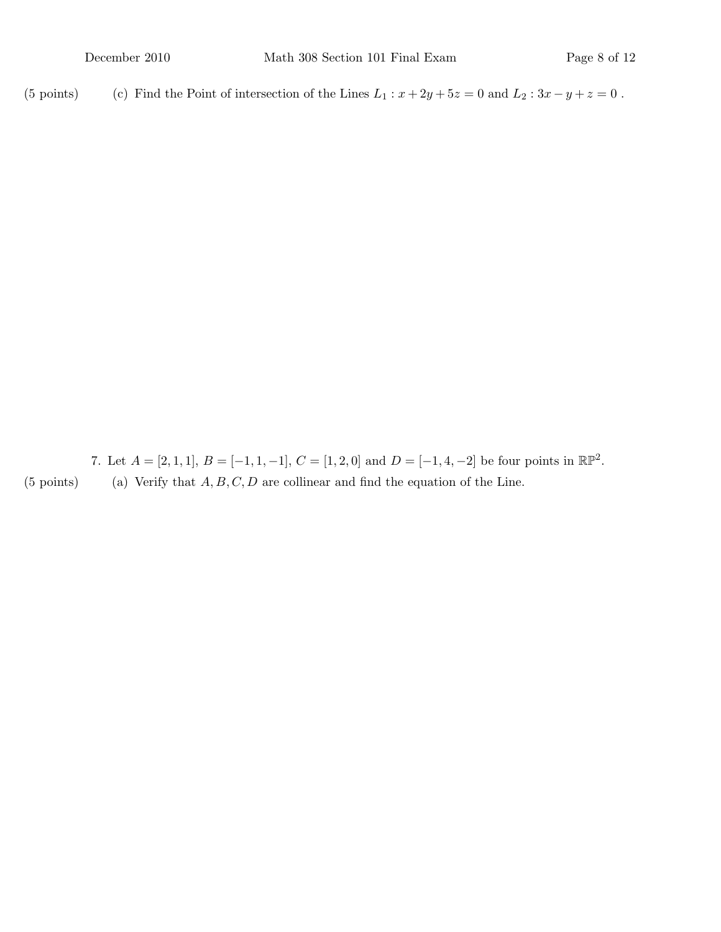(5 points)  $\qquad$  (c) Find the Point of intersection of the Lines  $L_1 : x + 2y + 5z = 0$  and  $L_2 : 3x - y + z = 0$ .

7. Let  $A = [2, 1, 1], B = [-1, 1, -1], C = [1, 2, 0]$  and  $D = [-1, 4, -2]$  be four points in  $\mathbb{RP}^2$ . (5 points) (a) Verify that  $A, B, C, D$  are collinear and find the equation of the Line.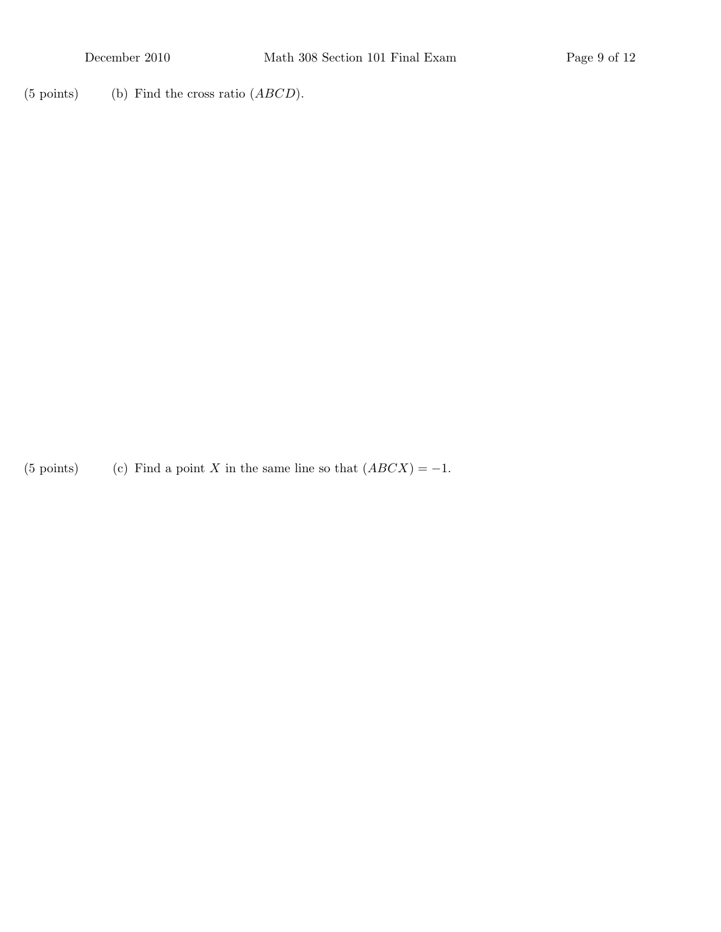$(5 \text{ points})$  (b) Find the cross ratio  $(ABCD)$ .

(5 points)  $(c)$  Find a point X in the same line so that  $(ABCX) = -1$ .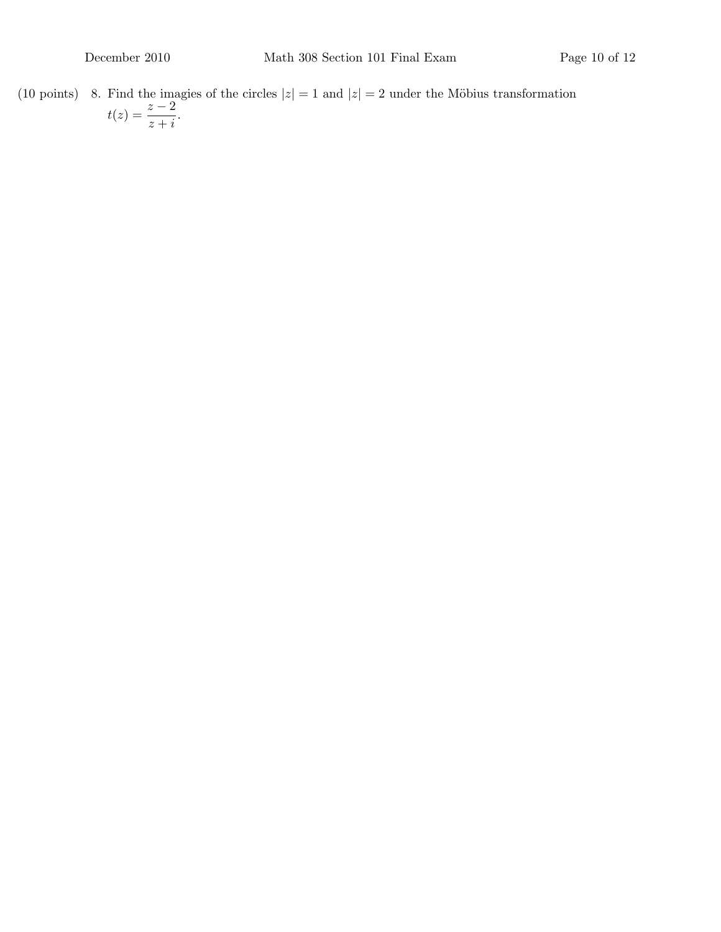(10 points) 8. Find the imagies of the circles  $|z| = 1$  and  $|z| = 2$  under the Möbius transformation  $t(z) = \frac{z-2}{z+i}.$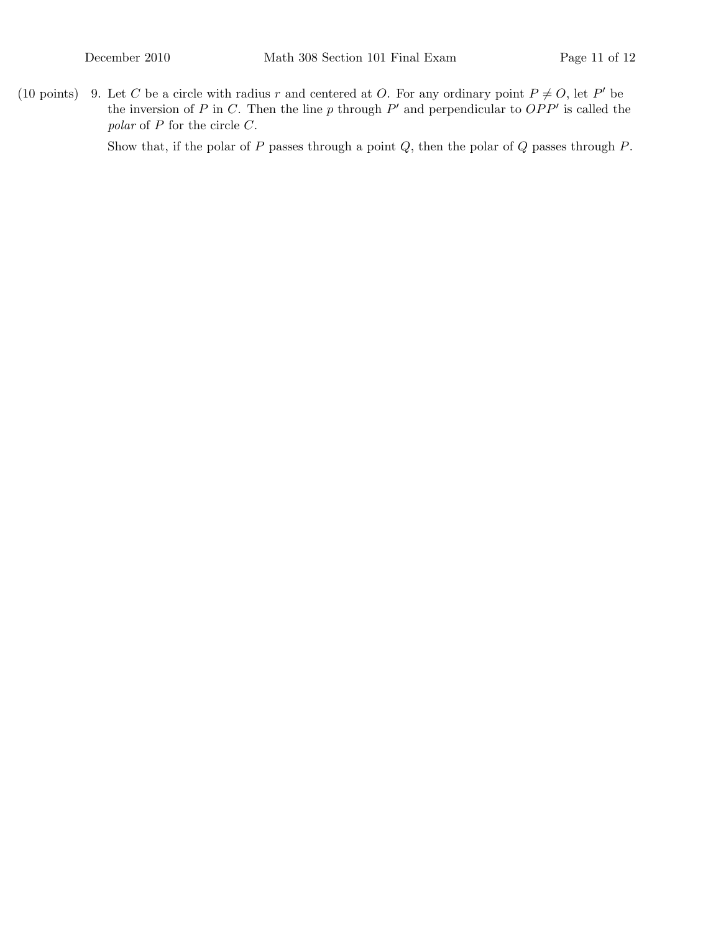(10 points) 9. Let C be a circle with radius r and centered at O. For any ordinary point  $P \neq O$ , let P' be the inversion of P in C. Then the line p through  $P'$  and perpendicular to  $OPP'$  is called the polar of P for the circle C.

Show that, if the polar of  $P$  passes through a point  $Q$ , then the polar of  $Q$  passes through  $P$ .